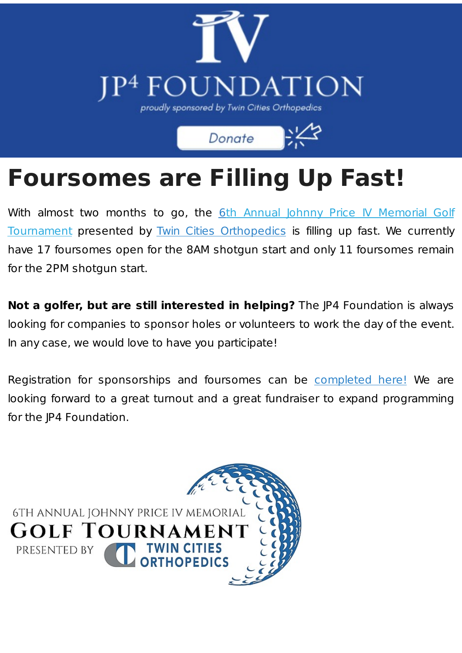

Donate

## **Foursomes are Filling Up Fast!**

With almost two months to go, the 6th Annual Johnny Price IV Memorial Golf Tournament presented by Twin Cities [Orthopedics](http://bidpal.net/JP4) is filling up fast. We currently have 17 foursomes open for the 8AM shotgun start and only 11 foursomes remain for the 2PM shotgun start.

**Not a golfer, but are still interested in helping?** The JP4 Foundation is always looking for companies to sponsor holes or volunteers to work the day of the event. In any case, we would love to have you participate!

Registration for sponsorships and foursomes can be [completed](http://bidpal.net/JP4) here! We are looking forward to a great turnout and a great fundraiser to expand programming for the JP4 Foundation.

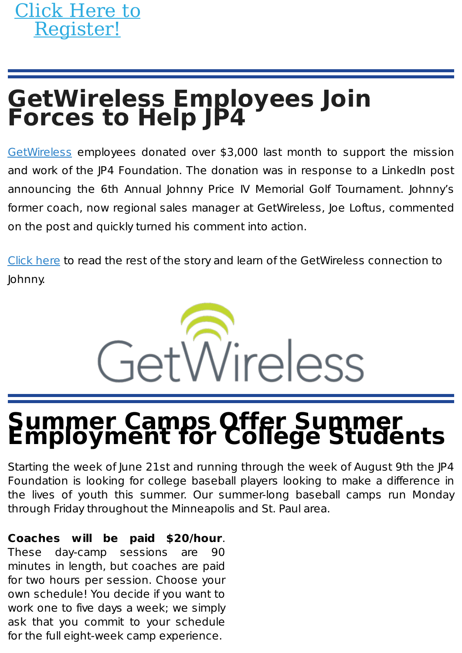## **GetWireless Employees Join Forces to Help JP4**

[GetWireless](https://www.getwirelessllc.com/) employees donated over \$3,000 last month to support the mission and work of the JP4 Foundation. The donation was in response to a LinkedIn post announcing the 6th Annual Johnny Price IV Memorial Golf Tournament. Johnny's former coach, now regional sales manager at GetWireless, Joe Loftus, commented on the post and quickly turned his comment into action.

[Click](https://www.jp4foundation.org/getwireless-employees-join-forces-to-help-jp4/) here to read the rest of the story and learn of the GetWireless connection to Johnny.



### **Summer Camps Offer Summer Employment for College Students**

Starting the week of June 21st and running through the week of August 9th the JP4 Foundation is looking for college baseball players looking to make a difference in the lives of youth this summer. Our summer-long baseball camps run Monday through Friday throughout the Minneapolis and St. Paul area.

#### **Coaches will be paid \$20/hour**.

These day-camp sessions are 90 minutes in length, but coaches are paid for two hours per session. Choose your own schedule! You decide if you want to work one to five days a week; we simply ask that you commit to your schedule for the full eight-week camp experience.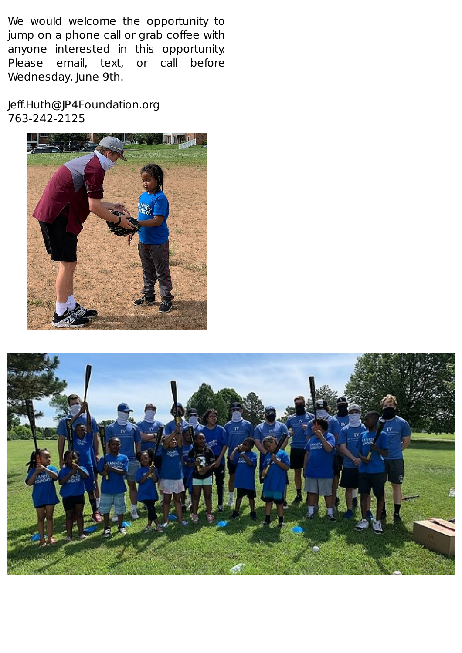We would welcome the opportunity to jump on a phone call or grab coffee with anyone interested in this opportunity. Please email, text, or call before Wednesday, June 9th.

Jeff.Huth@JP4Foundation.org 763-242-2125



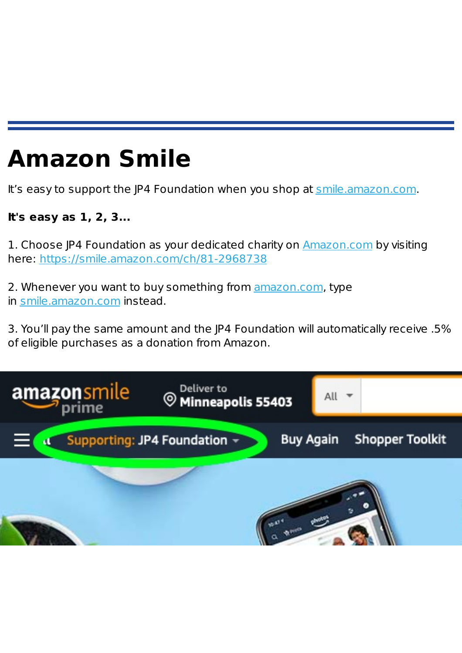## **Amazon Smile**

It's easy to support the JP4 Foundation when you shop at [smile.amazon.com](http://smile.amazon.com/).

#### **It's easy as 1, 2, 3...**

1. Choose JP4 Foundation as your dedicated charity on [Amazon.com](http://amazon.com/) by visiting here: <https://smile.amazon.com/ch/81-2968738>

2. Whenever you want to buy something from [amazon.com](http://amazon.com/), type in [smile.amazon.com](http://smile.amazon.com/) instead.

3. You'll pay the same amount and the JP4 Foundation will automatically receive .5% of eligible purchases as a donation from Amazon.